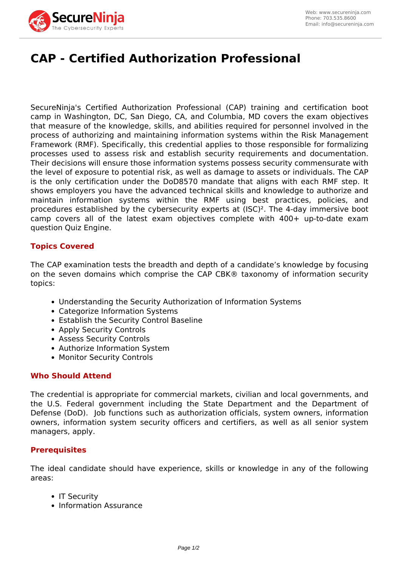

# **CAP - Certified Authorization Professional**

SecureNinja's Certified Authorization Professional (CAP) training and certification boot camp in Washington, DC, San Diego, CA, and Columbia, MD covers the exam objectives that measure of the knowledge, skills, and abilities required for personnel involved in the process of authorizing and maintaining information systems within the Risk Management Framework (RMF). Specifically, this credential applies to those responsible for formalizing processes used to assess risk and establish security requirements and documentation. Their decisions will ensure those information systems possess security commensurate with the level of exposure to potential risk, as well as damage to assets or individuals. The CAP is the only certification under the DoD8570 mandate that aligns with each RMF step. It shows employers you have the advanced technical skills and knowledge to authorize and maintain information systems within the RMF using best practices, policies, and procedures established by the cybersecurity experts at (ISC)². The 4-day immersive boot camp covers all of the latest exam objectives complete with 400+ up-to-date exam question Quiz Engine.

## **Topics Covered**

The CAP examination tests the breadth and depth of a candidate's knowledge by focusing on the seven domains which comprise the CAP CBK® taxonomy of information security topics:

- Understanding the Security Authorization of Information Systems
- Categorize Information Systems
- Establish the Security Control Baseline
- Apply Security Controls
- Assess Security Controls
- Authorize Information System
- Monitor Security Controls

## **Who Should Attend**

The credential is appropriate for commercial markets, civilian and local governments, and the U.S. Federal government including the State Department and the Department of Defense (DoD). Job functions such as authorization officials, system owners, information owners, information system security officers and certifiers, as well as all senior system managers, apply.

#### **Prerequisites**

The ideal candidate should have experience, skills or knowledge in any of the following areas:

- IT Security
- Information Assurance